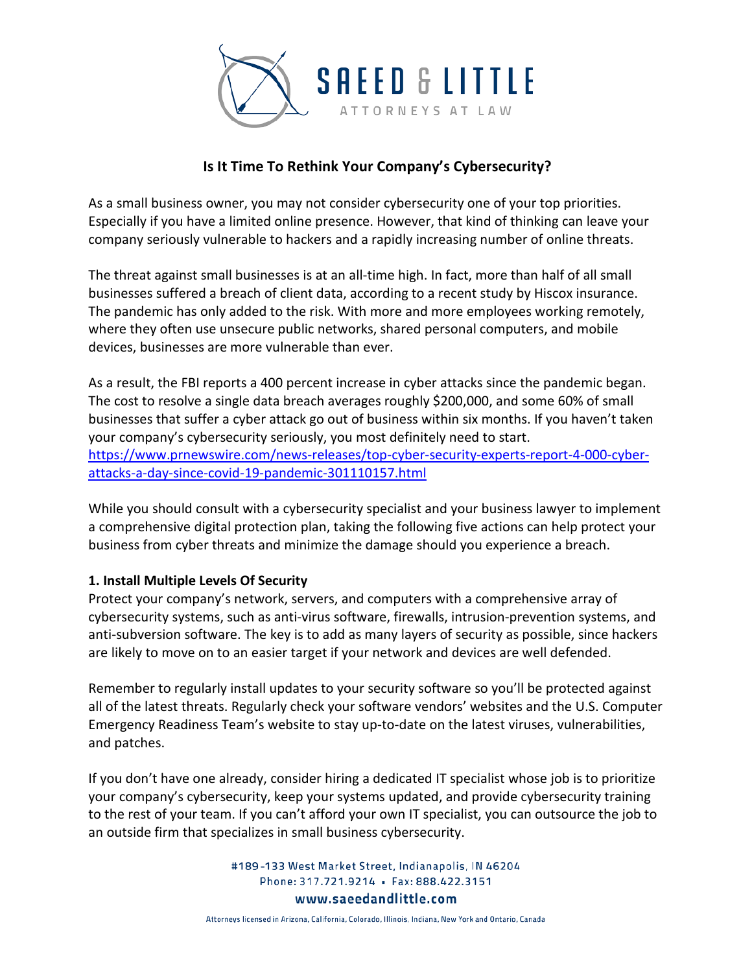

# **Is It Time To Rethink Your Company's Cybersecurity?**

As a small business owner, you may not consider cybersecurity one of your top priorities. Especially if you have a limited online presence. However, that kind of thinking can leave your company seriously vulnerable to hackers and a rapidly increasing number of online threats.

The threat against small businesses is at an all-time high. In fact, more than half of all small businesses suffered a breach of client data, according to a recent study by Hiscox insurance. The pandemic has only added to the risk. With more and more employees working remotely, where they often use unsecure public networks, shared personal computers, and mobile devices, businesses are more vulnerable than ever.

As a result, the FBI reports a 400 percent increase in cyber attacks since the pandemic began. The cost to resolve a single data breach averages roughly \$200,000, and some 60% of small businesses that suffer a cyber attack go out of business within six months. If you haven't taken your company's cybersecurity seriously, you most definitely need to start. [https://www.prnewswire.com/news-releases/top-cyber-security-experts-report-4-000-cyber](https://www.prnewswire.com/news-releases/top-cyber-security-experts-report-4-000-cyber-attacks-a-day-since-covid-19-pandemic-301110157.html)[attacks-a-day-since-covid-19-pandemic-301110157.html](https://www.prnewswire.com/news-releases/top-cyber-security-experts-report-4-000-cyber-attacks-a-day-since-covid-19-pandemic-301110157.html)

While you should consult with a cybersecurity specialist and your business lawyer to implement a comprehensive digital protection plan, taking the following five actions can help protect your business from cyber threats and minimize the damage should you experience a breach.

### **1. Install Multiple Levels Of Security**

Protect your company's network, servers, and computers with a comprehensive array of cybersecurity systems, such as anti-virus software, firewalls, intrusion-prevention systems, and anti-subversion software. The key is to add as many layers of security as possible, since hackers are likely to move on to an easier target if your network and devices are well defended.

Remember to regularly install updates to your security software so you'll be protected against all of the latest threats. Regularly check your software vendors' websites and the U.S. Computer Emergency Readiness Team's website to stay up-to-date on the latest viruses, vulnerabilities, and patches.

If you don't have one already, consider hiring a dedicated IT specialist whose job is to prioritize your company's cybersecurity, keep your systems updated, and provide cybersecurity training to the rest of your team. If you can't afford your own IT specialist, you can outsource the job to an outside firm that specializes in small business cybersecurity.

> #189-133 West Market Street, Indianapolis, IN 46204 Phone: 317.721.9214 · Fax: 888.422.3151 www.saeedandlittle.com

Attorneys licensed in Arizona, California, Colorado, Illinois, Indiana, New York and Ontario, Canada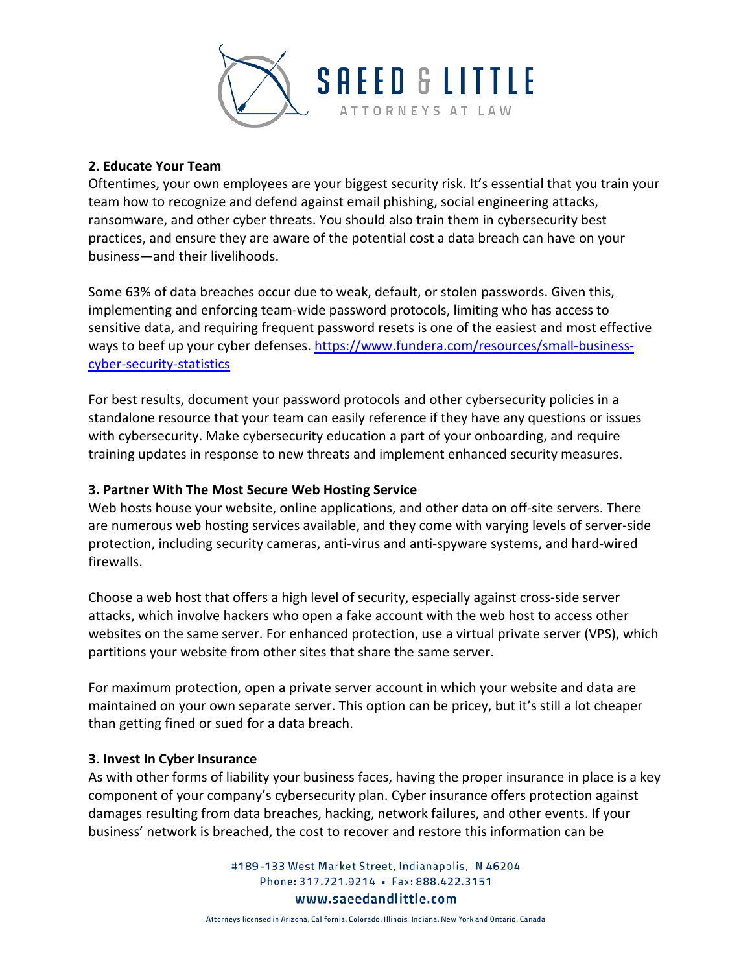

### **2. Educate Your Team**

Oftentimes, your own employees are your biggest security risk. It's essential that you train your team how to recognize and defend against email phishing, social engineering attacks, ransomware, and other cyber threats. You should also train them in cybersecurity best practices, and ensure they are aware of the potential cost a data breach can have on your business—and their livelihoods.

Some 63% of data breaches occur due to weak, default, or stolen passwords. Given this, implementing and enforcing team-wide password protocols, limiting who has access to sensitive data, and requiring frequent password resets is one of the easiest and most effective ways to beef up your cyber defenses. [https://www.fundera.com/resources/small-business](https://www.fundera.com/resources/small-business-cyber-security-statistics)[cyber-security-statistics](https://www.fundera.com/resources/small-business-cyber-security-statistics)

For best results, document your password protocols and other cybersecurity policies in a standalone resource that your team can easily reference if they have any questions or issues with cybersecurity. Make cybersecurity education a part of your onboarding, and require training updates in response to new threats and implement enhanced security measures.

## **3. Partner With The Most Secure Web Hosting Service**

Web hosts house your website, online applications, and other data on off-site servers. There are numerous web hosting services available, and they come with varying levels of server-side protection, including security cameras, anti-virus and anti-spyware systems, and hard-wired firewalls.

Choose a web host that offers a high level of security, especially against cross-side server attacks, which involve hackers who open a fake account with the web host to access other websites on the same server. For enhanced protection, use a virtual private server (VPS), which partitions your website from other sites that share the same server.

For maximum protection, open a private server account in which your website and data are maintained on your own separate server. This option can be pricey, but it's still a lot cheaper than getting fined or sued for a data breach.

### **3. Invest In Cyber Insurance**

As with other forms of liability your business faces, having the proper insurance in place is a key component of your company's cybersecurity plan. Cyber insurance offers protection against damages resulting from data breaches, hacking, network failures, and other events. If your business' network is breached, the cost to recover and restore this information can be

> #189-133 West Market Street, Indianapolis, IN 46204 Phone: 317.721.9214 · Fax: 888.422.3151 www.saeedandlittle.com